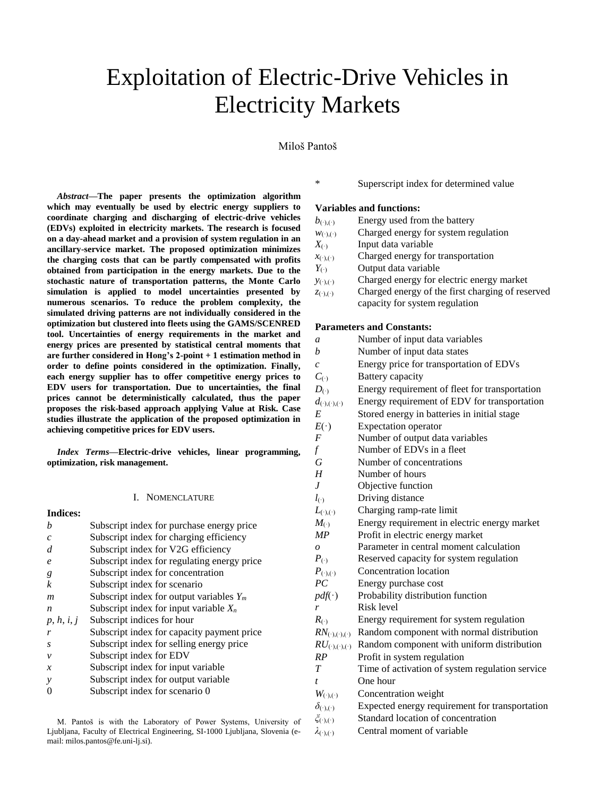# Exploitation of Electric-Drive Vehicles in Electricity Markets

# Miloš Pantoš

*Abstract***—The paper presents the optimization algorithm which may eventually be used by electric energy suppliers to coordinate charging and discharging of electric-drive vehicles (EDVs) exploited in electricity markets. The research is focused on a day-ahead market and a provision of system regulation in an ancillary-service market. The proposed optimization minimizes the charging costs that can be partly compensated with profits obtained from participation in the energy markets. Due to the stochastic nature of transportation patterns, the Monte Carlo simulation is applied to model uncertainties presented by numerous scenarios. To reduce the problem complexity, the simulated driving patterns are not individually considered in the optimization but clustered into fleets using the GAMS/SCENRED tool. Uncertainties of energy requirements in the market and energy prices are presented by statistical central moments that are further considered in Hong's 2-point + 1 estimation method in order to define points considered in the optimization. Finally, each energy supplier has to offer competitive energy prices to EDV users for transportation. Due to uncertainties, the final prices cannot be deterministically calculated, thus the paper proposes the risk-based approach applying Value at Risk. Case studies illustrate the application of the proposed optimization in achieving competitive prices for EDV users.**

*Index Terms***—Electric-drive vehicles, linear programming, optimization, risk management.**

#### I. NOMENCLATURE

| <b>Indices:</b>       |                                             |
|-----------------------|---------------------------------------------|
| h                     | Subscript index for purchase energy price   |
| $\mathcal{C}_{0}^{2}$ | Subscript index for charging efficiency     |
| d                     | Subscript index for V2G efficiency          |
| e                     | Subscript index for regulating energy price |
| g                     | Subscript index for concentration           |
| k                     | Subscript index for scenario                |
| m                     | Subscript index for output variables $Y_m$  |
| $\boldsymbol{n}$      | Subscript index for input variable $X_n$    |
| p, h, i, j            | Subscript indices for hour                  |
| r                     | Subscript index for capacity payment price  |
| S                     | Subscript index for selling energy price    |
| ν                     | Subscript index for EDV                     |
| $\boldsymbol{x}$      | Subscript index for input variable          |
| y                     | Subscript index for output variable         |
|                       | Subscript index for scenario 0              |
|                       |                                             |

M. Pantoš is with the Laboratory of Power Systems, University of Ljubljana, Faculty of Electrical Engineering, SI-1000 Ljubljana, Slovenia (email: milos.pantos@fe.uni-lj.si).

\* Superscript index for determined value

## **Variables and functions:**

- $b_{(\cdot),(\cdot)}$  Energy used from the battery
- $w_{(\cdot),(\cdot)}$  Charged energy for system regulation
- *X*<sub>(\*)</sub> Input data variable
- $x_{(\cdot),(\cdot)}$  Charged energy for transportation
- *Y*<sub>(\*)</sub> Output data variable
- *y*(·),(·) Charged energy for electric energy market
- *z*<sub>(·),(·)</sub> Charged energy of the first charging of reserved capacity for system regulation

## **Parameters and Constants:**

| a                                | Number of input data variables                  |
|----------------------------------|-------------------------------------------------|
| b                                | Number of input data states                     |
| $\mathcal{C}_{0}$                | Energy price for transportation of EDVs         |
| $C_{\left(\cdot\right)}$         | Battery capacity                                |
| $D_{(.)}$                        | Energy requirement of fleet for transportation  |
| $d_{(\cdot),(\cdot),(\cdot)}$    | Energy requirement of EDV for transportation    |
| E                                | Stored energy in batteries in initial stage     |
| $E(\cdot)$                       | <b>Expectation operator</b>                     |
| $\boldsymbol{F}$                 | Number of output data variables                 |
| $\int$                           | Number of EDVs in a fleet                       |
| G                                | Number of concentrations                        |
| H                                | Number of hours                                 |
| $\overline{J}$                   | Objective function                              |
| $l_{(\cdot)}$                    | Driving distance                                |
| $L_{(\cdot)(\cdot)}$             | Charging ramp-rate limit                        |
| $M_{(.)}$                        | Energy requirement in electric energy market    |
| MP                               | Profit in electric energy market                |
| $\overline{o}$                   | Parameter in central moment calculation         |
| $P_{(.)}$                        | Reserved capacity for system regulation         |
| $P_{(\cdot),(\cdot)}$            | <b>Concentration</b> location                   |
| PC                               | Energy purchase cost                            |
| $pdf(\cdot)$                     | Probability distribution function               |
| r                                | Risk level                                      |
| $R_{(·)}$                        | Energy requirement for system regulation        |
| $RN_{(\cdot),(\cdot),(\cdot)}$   | Random component with normal distribution       |
| $RU_{(\cdot), (\cdot), (\cdot)}$ | Random component with uniform distribution      |
| RP                               | Profit in system regulation                     |
| T                                | Time of activation of system regulation service |
| t                                | One hour                                        |
| $W_{(\cdot),(\cdot)}$            | Concentration weight                            |
| $\delta_{(\cdot),(\cdot)}$       | Expected energy requirement for transportation  |
| $\zeta_{(\cdot),(\cdot)}$        | Standard location of concentration              |
| $\lambda_{(\cdot),(\cdot)}$      | Central moment of variable                      |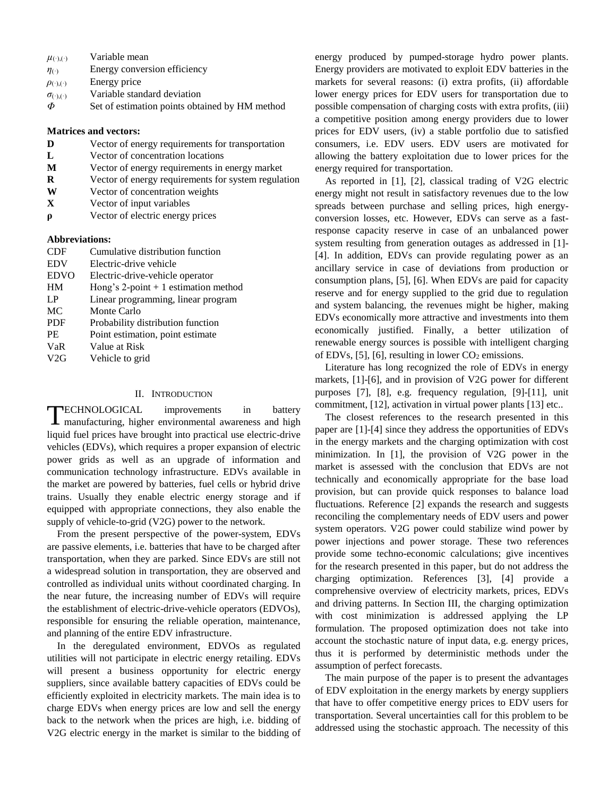- $\mu_{(\cdot),(\cdot)}$  Variable mean
- *η*(·) Energy conversion efficiency
- $\rho_{(\cdot),(\cdot)}$  Energy price
- $\sigma$ <sub>(·),(·)</sub> Variable standard deviation
- *Φ* Set of estimation points obtained by HM method

## **Matrices and vectors:**

- **D** Vector of energy requirements for transportation
- **L** Vector of concentration locations
- **M** Vector of energy requirements in energy market
- **R** Vector of energy requirements for system regulation
- **W** Vector of concentration weights
- **X** Vector of input variables
- **ρ** Vector of electric energy prices

## **Abbreviations:**

| <b>CDF</b>  | Cumulative distribution function      |
|-------------|---------------------------------------|
| <b>EDV</b>  | Electric-drive vehicle                |
| <b>EDVO</b> | Electric-drive-vehicle operator       |
| HM          | Hong's 2-point $+1$ estimation method |
| LP          | Linear programming, linear program    |
| MC          | Monte Carlo                           |
| <b>PDF</b>  | Probability distribution function     |
| <b>PE</b>   | Point estimation, point estimate      |
| VaR         | Value at Risk                         |
| V2G         | Vehicle to grid                       |

# II. INTRODUCTION

TECHNOLOGICAL improvements in battery<br>
manufacturing, higher environmental awareness and high manufacturing, higher environmental awareness and high liquid fuel prices have brought into practical use electric-drive vehicles (EDVs), which requires a proper expansion of electric power grids as well as an upgrade of information and communication technology infrastructure. EDVs available in the market are powered by batteries, fuel cells or hybrid drive trains. Usually they enable electric energy storage and if equipped with appropriate connections, they also enable the supply of vehicle-to-grid (V2G) power to the network.

From the present perspective of the power-system, EDVs are passive elements, i.e. batteries that have to be charged after transportation, when they are parked. Since EDVs are still not a widespread solution in transportation, they are observed and controlled as individual units without coordinated charging. In the near future, the increasing number of EDVs will require the establishment of electric-drive-vehicle operators (EDVOs), responsible for ensuring the reliable operation, maintenance, and planning of the entire EDV infrastructure.

In the deregulated environment, EDVOs as regulated utilities will not participate in electric energy retailing. EDVs will present a business opportunity for electric energy suppliers, since available battery capacities of EDVs could be efficiently exploited in electricity markets. The main idea is to charge EDVs when energy prices are low and sell the energy back to the network when the prices are high, i.e. bidding of V2G electric energy in the market is similar to the bidding of energy produced by pumped-storage hydro power plants. Energy providers are motivated to exploit EDV batteries in the markets for several reasons: (i) extra profits, (ii) affordable lower energy prices for EDV users for transportation due to possible compensation of charging costs with extra profits, (iii) a competitive position among energy providers due to lower prices for EDV users, (iv) a stable portfolio due to satisfied consumers, i.e. EDV users. EDV users are motivated for allowing the battery exploitation due to lower prices for the energy required for transportation.

As reported in [1], [2], classical trading of V2G electric energy might not result in satisfactory revenues due to the low spreads between purchase and selling prices, high energyconversion losses, etc. However, EDVs can serve as a fastresponse capacity reserve in case of an unbalanced power system resulting from generation outages as addressed in [1]- [4]. In addition, EDVs can provide regulating power as an ancillary service in case of deviations from production or consumption plans, [5], [6]. When EDVs are paid for capacity reserve and for energy supplied to the grid due to regulation and system balancing, the revenues might be higher, making EDVs economically more attractive and investments into them economically justified. Finally, a better utilization of renewable energy sources is possible with intelligent charging of EDVs, [5], [6], resulting in lower  $CO<sub>2</sub>$  emissions.

Literature has long recognized the role of EDVs in energy markets, [1]-[6], and in provision of V2G power for different purposes [7], [8], e.g. frequency regulation, [9]-[11], unit commitment, [12], activation in virtual power plants [13] etc..

The closest references to the research presented in this paper are [1]-[4] since they address the opportunities of EDVs in the energy markets and the charging optimization with cost minimization. In [1], the provision of V2G power in the market is assessed with the conclusion that EDVs are not technically and economically appropriate for the base load provision, but can provide quick responses to balance load fluctuations. Reference [2] expands the research and suggests reconciling the complementary needs of EDV users and power system operators. V2G power could stabilize wind power by power injections and power storage. These two references provide some techno-economic calculations; give incentives for the research presented in this paper, but do not address the charging optimization. References [3], [4] provide a comprehensive overview of electricity markets, prices, EDVs and driving patterns. In Section III, the charging optimization with cost minimization is addressed applying the LP formulation. The proposed optimization does not take into account the stochastic nature of input data, e.g. energy prices, thus it is performed by deterministic methods under the assumption of perfect forecasts.

The main purpose of the paper is to present the advantages of EDV exploitation in the energy markets by energy suppliers that have to offer competitive energy prices to EDV users for transportation. Several uncertainties call for this problem to be addressed using the stochastic approach. The necessity of this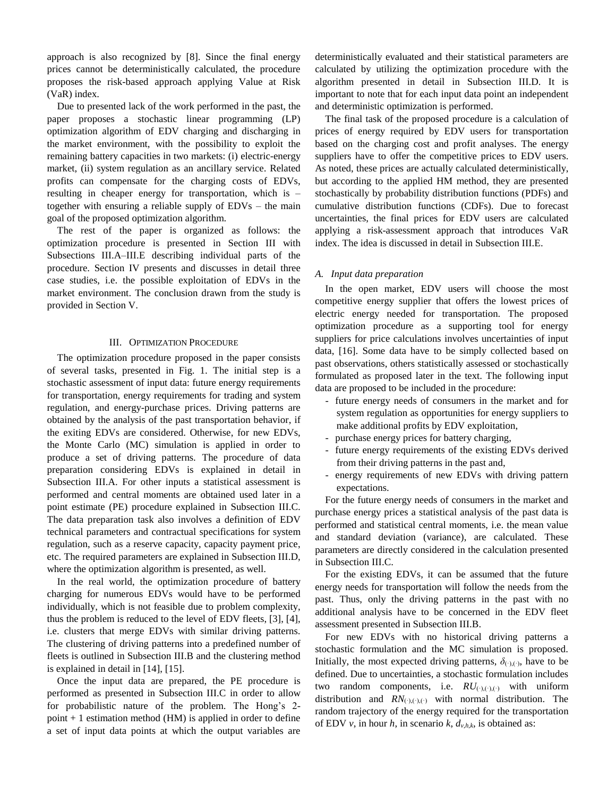approach is also recognized by [8]. Since the final energy prices cannot be deterministically calculated, the procedure proposes the risk-based approach applying Value at Risk (VaR) index.

Due to presented lack of the work performed in the past, the paper proposes a stochastic linear programming (LP) optimization algorithm of EDV charging and discharging in the market environment, with the possibility to exploit the remaining battery capacities in two markets: (i) electric-energy market, (ii) system regulation as an ancillary service. Related profits can compensate for the charging costs of EDVs, resulting in cheaper energy for transportation, which is – together with ensuring a reliable supply of EDVs – the main goal of the proposed optimization algorithm.

The rest of the paper is organized as follows: the optimization procedure is presented in Section III with Subsections III.A–III.E describing individual parts of the procedure. Section IV presents and discusses in detail three case studies, i.e. the possible exploitation of EDVs in the market environment. The conclusion drawn from the study is provided in Section V.

## III. OPTIMIZATION PROCEDURE

The optimization procedure proposed in the paper consists of several tasks, presented in Fig. 1. The initial step is a stochastic assessment of input data: future energy requirements for transportation, energy requirements for trading and system regulation, and energy-purchase prices. Driving patterns are obtained by the analysis of the past transportation behavior, if the exiting EDVs are considered. Otherwise, for new EDVs, the Monte Carlo (MC) simulation is applied in order to produce a set of driving patterns. The procedure of data preparation considering EDVs is explained in detail in Subsection III.A. For other inputs a statistical assessment is performed and central moments are obtained used later in a point estimate (PE) procedure explained in Subsection III.C. The data preparation task also involves a definition of EDV technical parameters and contractual specifications for system regulation, such as a reserve capacity, capacity payment price, etc. The required parameters are explained in Subsection III.D, where the optimization algorithm is presented, as well.

In the real world, the optimization procedure of battery charging for numerous EDVs would have to be performed individually, which is not feasible due to problem complexity, thus the problem is reduced to the level of EDV fleets, [3], [4], i.e. clusters that merge EDVs with similar driving patterns. The clustering of driving patterns into a predefined number of fleets is outlined in Subsection III.B and the clustering method is explained in detail in [14], [15].

Once the input data are prepared, the PE procedure is performed as presented in Subsection III.C in order to allow for probabilistic nature of the problem. The Hong's 2  $point + 1$  estimation method (HM) is applied in order to define a set of input data points at which the output variables are deterministically evaluated and their statistical parameters are calculated by utilizing the optimization procedure with the algorithm presented in detail in Subsection III.D. It is important to note that for each input data point an independent and deterministic optimization is performed.

The final task of the proposed procedure is a calculation of prices of energy required by EDV users for transportation based on the charging cost and profit analyses. The energy suppliers have to offer the competitive prices to EDV users. As noted, these prices are actually calculated deterministically, but according to the applied HM method, they are presented stochastically by probability distribution functions (PDFs) and cumulative distribution functions (CDFs). Due to forecast uncertainties, the final prices for EDV users are calculated applying a risk-assessment approach that introduces VaR index. The idea is discussed in detail in Subsection III.E.

# *A. Input data preparation*

In the open market, EDV users will choose the most competitive energy supplier that offers the lowest prices of electric energy needed for transportation. The proposed optimization procedure as a supporting tool for energy suppliers for price calculations involves uncertainties of input data, [16]. Some data have to be simply collected based on past observations, others statistically assessed or stochastically formulated as proposed later in the text. The following input data are proposed to be included in the procedure:

- future energy needs of consumers in the market and for system regulation as opportunities for energy suppliers to make additional profits by EDV exploitation,
- purchase energy prices for battery charging,
- future energy requirements of the existing EDVs derived from their driving patterns in the past and,
- energy requirements of new EDVs with driving pattern expectations.

For the future energy needs of consumers in the market and purchase energy prices a statistical analysis of the past data is performed and statistical central moments, i.e. the mean value and standard deviation (variance), are calculated. These parameters are directly considered in the calculation presented in Subsection III.C.

For the existing EDVs, it can be assumed that the future energy needs for transportation will follow the needs from the past. Thus, only the driving patterns in the past with no additional analysis have to be concerned in the EDV fleet assessment presented in Subsection III.B.

For new EDVs with no historical driving patterns a stochastic formulation and the MC simulation is proposed. Initially, the most expected driving patterns,  $\delta_{(\cdot),(\cdot)}$ , have to be defined. Due to uncertainties, a stochastic formulation includes two random components, i.e.  $RU_{(\cdot),(\cdot),(\cdot)}$  with uniform distribution and  $RN_{(\cdot),(\cdot),(\cdot)}$  with normal distribution. The random trajectory of the energy required for the transportation of EDV  $v$ , in hour  $h$ , in scenario  $k$ ,  $d_{v,h,k}$ , is obtained as: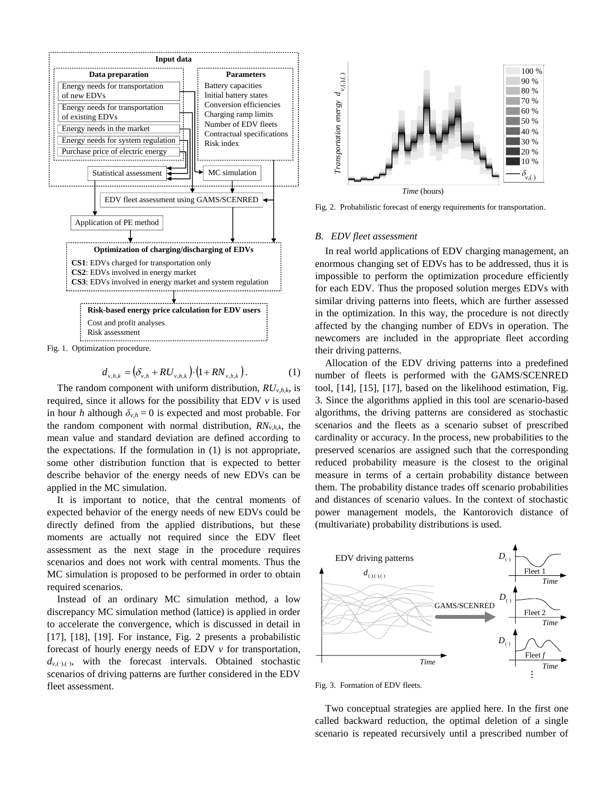

Fig. 1. Optimization procedure.

$$
d_{v,h,k} = (\delta_{v,h} + RU_{v,h,k}) \cdot (1 + RN_{v,h,k}). \tag{1}
$$

The random component with uniform distribution,  $RU_{v,h,k}$ , is required, since it allows for the possibility that EDV *v* is used in hour *h* although  $\delta_{v,h} = 0$  is expected and most probable. For the random component with normal distribution, *RNv*,*h*,*k*, the mean value and standard deviation are defined according to the expectations. If the formulation in (1) is not appropriate, some other distribution function that is expected to better describe behavior of the energy needs of new EDVs can be applied in the MC simulation.

It is important to notice, that the central moments of expected behavior of the energy needs of new EDVs could be directly defined from the applied distributions, but these moments are actually not required since the EDV fleet assessment as the next stage in the procedure requires scenarios and does not work with central moments. Thus the MC simulation is proposed to be performed in order to obtain required scenarios.

Instead of an ordinary MC simulation method, a low discrepancy MC simulation method (lattice) is applied in order to accelerate the convergence, which is discussed in detail in [17], [18], [19]. For instance, Fig. 2 presents a probabilistic forecast of hourly energy needs of EDV *v* for transportation,  $d_{v,(.)}$ , with the forecast intervals. Obtained stochastic scenarios of driving patterns are further considered in the EDV fleet assessment.



Fig. 2. Probabilistic forecast of energy requirements for transportation.

## *B. EDV fleet assessment*

In real world applications of EDV charging management, an enormous changing set of EDVs has to be addressed, thus it is impossible to perform the optimization procedure efficiently for each EDV. Thus the proposed solution merges EDVs with similar driving patterns into fleets, which are further assessed in the optimization. In this way, the procedure is not directly affected by the changing number of EDVs in operation. The newcomers are included in the appropriate fleet according their driving patterns.

Allocation of the EDV driving patterns into a predefined number of fleets is performed with the GAMS/SCENRED tool, [14], [15], [17], based on the likelihood estimation, Fig. 3. Since the algorithms applied in this tool are scenario-based algorithms, the driving patterns are considered as stochastic scenarios and the fleets as a scenario subset of prescribed cardinality or accuracy. In the process, new probabilities to the preserved scenarios are assigned such that the corresponding reduced probability measure is the closest to the original measure in terms of a certain probability distance between them. The probability distance trades off scenario probabilities and distances of scenario values. In the context of stochastic power management models, the Kantorovich distance of (multivariate) probability distributions is used.



Fig. 3. Formation of EDV fleets.

Two conceptual strategies are applied here. In the first one called backward reduction, the optimal deletion of a single scenario is repeated recursively until a prescribed number of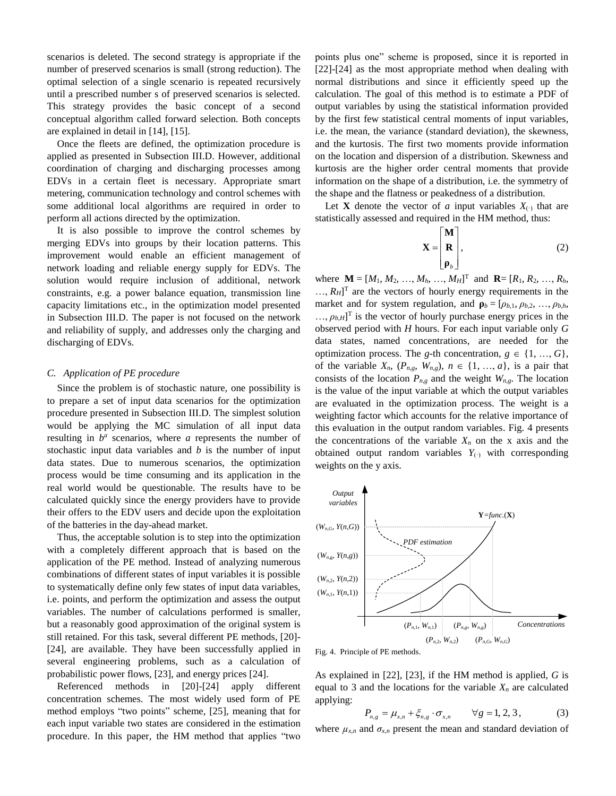scenarios is deleted. The second strategy is appropriate if the number of preserved scenarios is small (strong reduction). The optimal selection of a single scenario is repeated recursively until a prescribed number s of preserved scenarios is selected. This strategy provides the basic concept of a second conceptual algorithm called forward selection. Both concepts are explained in detail in [14], [15].

Once the fleets are defined, the optimization procedure is applied as presented in Subsection III.D. However, additional coordination of charging and discharging processes among EDVs in a certain fleet is necessary. Appropriate smart metering, communication technology and control schemes with some additional local algorithms are required in order to perform all actions directed by the optimization.

It is also possible to improve the control schemes by merging EDVs into groups by their location patterns. This improvement would enable an efficient management of network loading and reliable energy supply for EDVs. The solution would require inclusion of additional, network constraints, e.g. a power balance equation, transmission line capacity limitations etc., in the optimization model presented in Subsection III.D. The paper is not focused on the network and reliability of supply, and addresses only the charging and discharging of EDVs.

### *C. Application of PE procedure*

Since the problem is of stochastic nature, one possibility is to prepare a set of input data scenarios for the optimization procedure presented in Subsection III.D. The simplest solution would be applying the MC simulation of all input data resulting in  $b^a$  scenarios, where *a* represents the number of stochastic input data variables and *b* is the number of input data states. Due to numerous scenarios, the optimization process would be time consuming and its application in the real world would be questionable. The results have to be calculated quickly since the energy providers have to provide their offers to the EDV users and decide upon the exploitation of the batteries in the day-ahead market.

Thus, the acceptable solution is to step into the optimization with a completely different approach that is based on the application of the PE method. Instead of analyzing numerous combinations of different states of input variables it is possible to systematically define only few states of input data variables, i.e. points, and perform the optimization and assess the output variables. The number of calculations performed is smaller, but a reasonably good approximation of the original system is still retained. For this task, several different PE methods, [20]- [24], are available. They have been successfully applied in several engineering problems, such as a calculation of probabilistic power flows, [23], and energy prices [24].

Referenced methods in [20]-[24] apply different concentration schemes. The most widely used form of PE method employs "two points" scheme, [25], meaning that for each input variable two states are considered in the estimation procedure. In this paper, the HM method that applies "two points plus one" scheme is proposed, since it is reported in [22]-[24] as the most appropriate method when dealing with normal distributions and since it efficiently speed up the calculation. The goal of this method is to estimate a PDF of output variables by using the statistical information provided by the first few statistical central moments of input variables, i.e. the mean, the variance (standard deviation), the skewness, and the kurtosis. The first two moments provide information on the location and dispersion of a distribution. Skewness and kurtosis are the higher order central moments that provide information on the shape of a distribution, i.e. the symmetry of the shape and the flatness or peakedness of a distribution.

Let **X** denote the vector of *a* input variables  $X_{(.)}$  that are statistically assessed and required in the HM method, thus:

$$
\mathbf{X} = \begin{bmatrix} \mathbf{M} \\ \mathbf{R} \\ \mathbf{\rho}_{b} \end{bmatrix},
$$
 (2)

where  $M = [M_1, M_2, ..., M_h, ..., M_H]^T$  and  $\mathbf{R} = [R_1, R_2, ..., R_h,$  $..., R<sub>H</sub>$ <sup>T</sup> are the vectors of hourly energy requirements in the market and for system regulation, and  $\rho_b = [\rho_{b,1}, \rho_{b,2}, \dots, \rho_{b,h}]$  $..., \rho_{b,H}$ <sup>T</sup> is the vector of hourly purchase energy prices in the observed period with *H* hours. For each input variable only *G* data states, named concentrations, are needed for the optimization process. The *g*-th concentration,  $g \in \{1, ..., G\}$ , of the variable  $X_n$ ,  $(P_{n,g}, W_{n,g})$ ,  $n \in \{1, ..., a\}$ , is a pair that consists of the location  $P_{n,g}$  and the weight  $W_{n,g}$ . The location is the value of the input variable at which the output variables are evaluated in the optimization process. The weight is a weighting factor which accounts for the relative importance of this evaluation in the output random variables. Fig. 4 presents the concentrations of the variable  $X_n$  on the x axis and the obtained output random variables  $Y_{(·)}$  with corresponding weights on the y axis.



Fig. 4. Principle of PE methods.

As explained in [\[22\],](#page-12-0) [\[23\],](#page-12-1) if the HM method is applied, *G* is equal to 3 and the locations for the variable  $X_n$  are calculated applying:

$$
P_{n,g} = \mu_{x,n} + \xi_{n,g} \cdot \sigma_{x,n} \qquad \forall g = 1, 2, 3, \tag{3}
$$

where  $\mu_{x,n}$  and  $\sigma_{x,n}$  present the mean and standard deviation of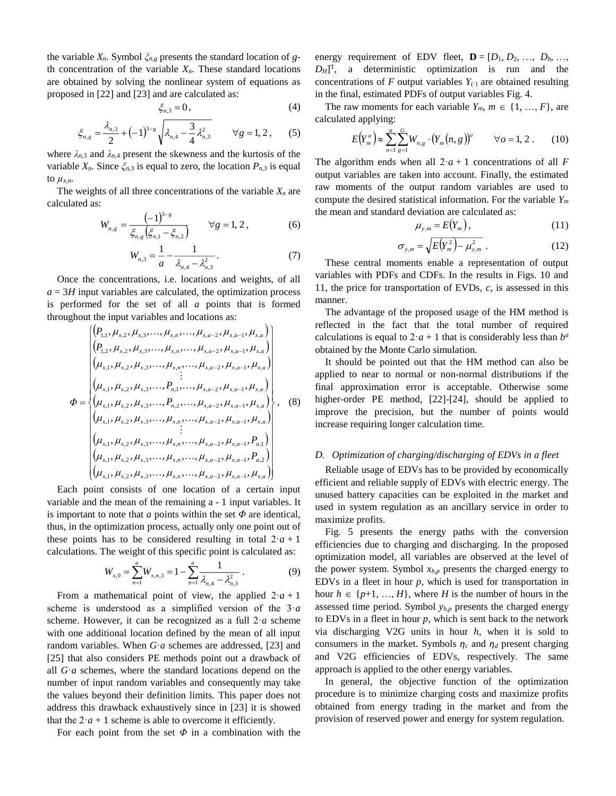the variable  $X_n$ . Symbol  $\zeta_{n,g}$  presents the standard location of *g*th concentration of the variable  $X_n$ . These standard locations are obtained by solving the nonlinear system of equations as proposed in [22] and [23] and are calculated as:

$$
\xi_{n,3}=0,\t\t(4)
$$

$$
\xi_{n,g} = \frac{\lambda_{n,3}}{2} + (-1)^{3-s} \sqrt{\lambda_{n,4} - \frac{3}{4} \lambda_{n,3}^2} \qquad \forall g = 1, 2, \qquad (5)
$$

where  $\lambda_{n,3}$  and  $\lambda_{n,4}$  present the skewness and the kurtosis of the variable  $X_n$ . Since  $\zeta_{n,3}$  is equal to zero, the location  $P_{n,3}$  is equal to  $\mu_{x,n}$ .

The weights of all three concentrations of the variable  $X_n$  are calculated as:

$$
W_{n,g} = \frac{(-1)^{3-g}}{\xi_{n,g}\left(\xi_{n,1} - \xi_{n,2}\right)} \qquad \forall g = 1, 2, \tag{6}
$$

$$
W_{n,3} = \frac{1}{a} - \frac{1}{\lambda_{n,4} - \lambda_{n,3}^2}.
$$
 (7)

Once the concentrations, i.e. locations and weights, of all  $a = 3H$  input variables are calculated, the optimization process is performed for the set of all *a* points that is formed throughout the input variables and locations as:

$$
\Phi = \begin{cases}\n(\rho_{1,1}, \mu_{x,2}, \mu_{x,3}, \dots, \mu_{x,n}, \dots, \mu_{x,a-2}, \mu_{x,a-1}, \mu_{x,a}) \\
(\rho_{1,2}, \mu_{x,2}, \mu_{x,3}, \dots, \mu_{x,n}, \dots, \mu_{x,a-2}, \mu_{x,a-1}, \mu_{x,a}) \\
(\mu_{x,1}, \mu_{x,2}, \mu_{x,3}, \dots, \mu_{x,n}, \dots, \mu_{x,a-2}, \mu_{x,a-1}, \mu_{x,a}) \\
\vdots \\
(\mu_{x,1}, \mu_{x,2}, \mu_{x,3}, \dots, P_{n,1}, \dots, \mu_{x,a-2}, \mu_{x,a-1}, \mu_{x,a}) \\
(\mu_{x,1}, \mu_{x,2}, \mu_{x,3}, \dots, P_{n,2}, \dots, \mu_{x,a-2}, \mu_{x,a-1}, \mu_{x,a}) \\
\vdots \\
(\mu_{x,1}, \mu_{x,2}, \mu_{x,3}, \dots, \mu_{x,n}, \dots, \mu_{x,a-2}, \mu_{x,a-1}, P_{a,1}) \\
(\mu_{x,1}, \mu_{x,2}, \mu_{x,3}, \dots, \mu_{x,n}, \dots, \mu_{x,a-2}, \mu_{x,a-1}, P_{a,2}) \\
(\mu_{x,1}, \mu_{x,2}, \mu_{x,3}, \dots, \mu_{x,n}, \dots, \mu_{x,a-2}, \mu_{x,a-1}, P_{a,2}) \\
(\mu_{x,1}, \mu_{x,2}, \mu_{x,3}, \dots, \mu_{x,n}, \dots, \mu_{x,a-2}, \mu_{x,a-1}, \mu_{x,a})\n\end{cases}
$$
\n(8)

Each point consists of one location of a certain input variable and the mean of the remaining a - 1 input variables. It is important to note that  $a$  points within the set  $\Phi$  are identical, thus, in the optimization process, actually only one point out of these points has to be considered resulting in total  $2 \cdot a + 1$ calculations. The weight of this specific point is calculated as:

$$
W_{x,0} = \sum_{n=1}^{a} W_{x,n,3} = 1 - \sum_{n=1}^{a} \frac{1}{\lambda_{n,4} - \lambda_{n,3}^2} \,. \tag{9}
$$

From a mathematical point of view, the applied  $2 \cdot a + 1$ scheme is understood as a simplified version of the 3·*a* scheme. However, it can be recognized as a full  $2 \cdot a$  scheme with one additional location defined by the mean of all input random variables. When *G*·*a* schemes are addressed, [\[23\]](#page-12-1) and [\[25\]](#page-12-2) that also considers PE methods point out a drawback of all *G*·*a* schemes, where the standard locations depend on the number of input random variables and consequently may take the values beyond their definition limits. This paper does not address this drawback exhaustively since in [\[23\]](#page-12-1) it is showed that the  $2 \cdot a + 1$  scheme is able to overcome it efficiently.

For each point from the set  $\Phi$  in a combination with the

energy requirement of EDV fleet,  $\mathbf{D} = [D_1, D_2, \dots, D_h, \dots]$  $D_H$ <sup>T</sup>, a deterministic optimization is run and the concentrations of *F* output variables  $Y_{(·)}$  are obtained resulting in the final, estimated PDFs of output variables Fig. 4.

The raw moments for each variable  $Y_m$ ,  $m \in \{1, ..., F\}$ , are calculated applying:

$$
E(Y_m^o) \approx \sum_{n=1}^a \sum_{g=1}^G W_{n,g} \cdot (Y_m(n,g))^o \qquad \forall o = 1, 2. \qquad (10)
$$

The algorithm ends when all  $2 \cdot a + 1$  concentrations of all *F* output variables are taken into account. Finally, the estimated raw moments of the output random variables are used to compute the desired statistical information. For the variable *Y<sup>m</sup>* the mean and standard deviation are calculated as:

$$
\mu_{y,m} = E(Y_m), \qquad (11)
$$

$$
\sigma_{y,m} = \sqrt{E(Y_m^2) - \mu_{y,m}^2} \ . \tag{12}
$$

These central moments enable a representation of output variables with PDFs and CDFs. In the results in Figs. 10 and 11, the price for transportation of EVDs, *c*, is assessed in this manner.

The advantage of the proposed usage of the HM method is reflected in the fact that the total number of required calculations is equal to  $2 \cdot a + 1$  that is considerably less than  $b^a$ obtained by the Monte Carlo simulation.

It should be pointed out that the HM method can also be applied to near to normal or non-normal distributions if the final approximation error is acceptable. Otherwise some higher-order PE method, [22]-[24], should be applied to improve the precision, but the number of points would increase requiring longer calculation time.

#### *D. Optimization of charging/discharging of EDVs in a fleet*

Reliable usage of EDVs has to be provided by economically efficient and reliable supply of EDVs with electric energy. The unused battery capacities can be exploited in the market and used in system regulation as an ancillary service in order to maximize profits.

Fig. 5 presents the energy paths with the conversion efficiencies due to charging and discharging. In the proposed optimization model, all variables are observed at the level of the power system. Symbol  $x_{h,p}$  presents the charged energy to EDVs in a fleet in hour *p*, which is used for transportation in hour  $h \in \{p+1, ..., H\}$ , where *H* is the number of hours in the assessed time period. Symbol *yh*,*<sup>p</sup>* presents the charged energy to EDVs in a fleet in hour *p*, which is sent back to the network via discharging V2G units in hour *h*, when it is sold to consumers in the market. Symbols  $\eta_c$  and  $\eta_d$  present charging and V2G efficiencies of EDVs, respectively. The same approach is applied to the other energy variables.

In general, the objective function of the optimization procedure is to minimize charging costs and maximize profits obtained from energy trading in the market and from the provision of reserved power and energy for system regulation.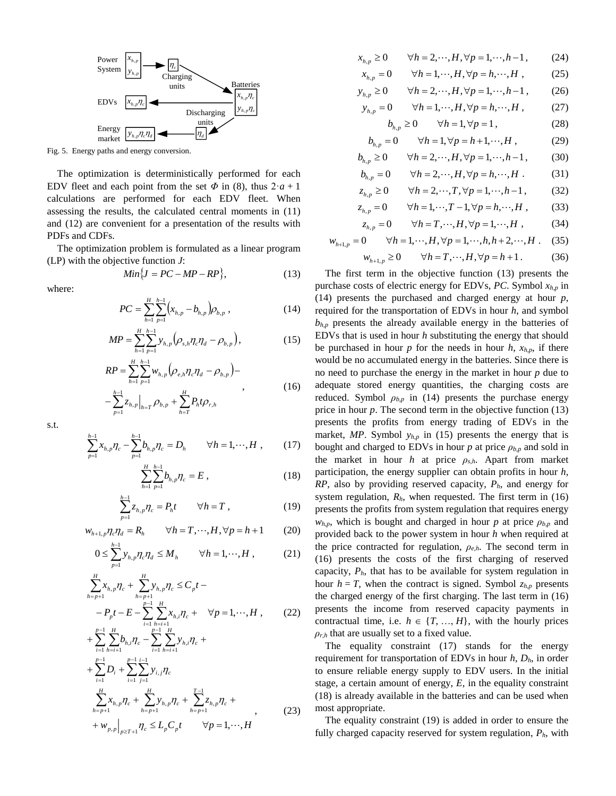

Fig. 5. Energy paths and energy conversion.

The optimization is deterministically performed for each EDV fleet and each point from the set  $\Phi$  in (8), thus  $2 \cdot a + 1$ calculations are performed for each EDV fleet. When assessing the results, the calculated central moments in (11) and (12) are convenient for a presentation of the results with PDFs and CDFs.

The optimization problem is formulated as a linear program (LP) with the objective function *J*:

$$
Min\{J = PC - MP - RP\},\tag{13}
$$

where:

$$
PC = \sum_{h=1}^{H} \sum_{p=1}^{h-1} \left( x_{h,p} - b_{h,p} \right) \rho_{b,p} , \qquad (14)
$$

$$
MP = \sum_{h=1}^{H} \sum_{p=1}^{h-1} y_{h,p} \left( \rho_{s,h} \eta_c \eta_d - \rho_{b,p} \right), \tag{15}
$$

$$
RP = \sum_{h=1}^{H} \sum_{p=1}^{h-1} w_{h,p} \left( \rho_{e,h} \eta_c \eta_d - \rho_{b,p} \right) -
$$
  

$$
- \sum_{p=1}^{h-1} z_{h,p} \Big|_{h=T} \rho_{b,p} + \sum_{h=T}^{H} P_h t \rho_{r,h}
$$
 (16)

s.t.

$$
\sum_{p=1}^{h-1} x_{h,p} \eta_c - \sum_{p=1}^{h-1} b_{h,p} \eta_c = D_h \qquad \forall h = 1, \cdots, H , \qquad (17)
$$

$$
\sum_{h=1}^{H} \sum_{p=1}^{h-1} b_{h,p} \eta_c = E , \qquad (18)
$$

$$
\sum_{p=1}^{h-1} z_{h,p} \eta_c = P_h t \qquad \forall h = T , \qquad (19)
$$

$$
w_{h+1,p}\eta_c\eta_d = R_h \qquad \forall h = T,\cdots,H, \forall p = h+1 \qquad (20)
$$

$$
0 \le \sum_{p=1}^{h-1} y_{h,p} \eta_c \eta_d \le M_h \qquad \forall h = 1, \cdots, H \,, \tag{21}
$$

$$
\sum_{h=p+1}^{H} x_{h,p} \eta_c + \sum_{h=p+1}^{H} y_{h,p} \eta_c \le C_p t -
$$
  
-  $P_p t - E - \sum_{i=1}^{p-1} \sum_{\substack{h=i+1 \ p-1 \ p-1 \ p}}^{H} x_{h,i} \eta_c + \forall p = 1, \dots, H$ , (22)

+ 
$$
\sum_{i=1}^{n} \sum_{h=i+1}^{n} b_{h,i} \eta_c - \sum_{i=1}^{n} \sum_{h=i+1}^{n} y_{h,i} \eta_c +
$$
  
+ 
$$
\sum_{i=1}^{p-1} D_i + \sum_{i=1}^{p-1} \sum_{j=1}^{i-1} y_{i,j} \eta_c
$$
  

$$
\sum_{h=p+1}^{H} x_{h,p} \eta_c + \sum_{h=p+1}^{H} y_{h,p} \eta_c + \sum_{h=p+1}^{T-1} z_{h,p} \eta_c +
$$
  
+ 
$$
w_{p,p} \Big|_{p \ge T+1} \eta_c \le L_p C_p t \qquad \forall p = 1, \dots, H
$$
 (23)

$$
x_{h,p} \ge 0 \qquad \forall h = 2, \cdots, H, \forall p = 1, \cdots, h-1, \tag{24}
$$

$$
x_{h,p} = 0 \qquad \forall h = 1, \cdots, H, \forall p = h, \cdots, H \tag{25}
$$

$$
y_{h,p} \ge 0
$$
  $\forall h = 2,..., H, \forall p = 1,...,h-1$ , (26)

$$
y_{h,p} = 0 \qquad \forall h = 1, \cdots, H, \forall p = h, \cdots, H, \qquad (27)
$$

$$
b_{h,p} \ge 0 \qquad \forall h = 1, \forall p = 1,
$$
 (28)

$$
b_{h,p} = 0 \qquad \forall h = 1, \forall p = h+1, \cdots, H \,, \tag{29}
$$

$$
b_{h,p} \ge 0 \qquad \forall h = 2, \cdots, H, \forall p = 1, \cdots, h-1, \tag{30}
$$

$$
b_{h,p} = 0 \qquad \forall h = 2,\cdots,H, \forall p = h,\cdots,H. \tag{31}
$$

$$
z_{h,p} \ge 0 \qquad \forall h = 2,\cdots,T, \forall p = 1,\cdots,h-1, \tag{32}
$$

$$
z_{h,p} = 0 \qquad \forall h = 1, \cdots, T-1, \forall p = h, \cdots, H \; , \tag{33}
$$

$$
z_{h,p} = 0 \qquad \forall h = T, \cdots, H, \forall p = 1, \cdots, H \tag{34}
$$

$$
w_{h+1,p} = 0 \t \forall h = 1, \cdots, H, \forall p = 1, \cdots, h, h+2, \cdots, H. \t (35)
$$

$$
w_{h+1,p} \ge 0 \qquad \forall h = T, \cdots, H, \forall p = h+1. \tag{36}
$$

The first term in the objective function (13) presents the purchase costs of electric energy for EDVs, *PC*. Symbol *xh*,*<sup>p</sup>* in (14) presents the purchased and charged energy at hour *p*, required for the transportation of EDVs in hour *h*, and symbol  $b_{h,p}$  presents the already available energy in the batteries of EDVs that is used in hour *h* substituting the energy that should be purchased in hour  $p$  for the needs in hour  $h$ ,  $x_{h,p}$ , if there would be no accumulated energy in the batteries. Since there is no need to purchase the energy in the market in hour *p* due to adequate stored energy quantities, the charging costs are reduced. Symbol  $\rho_{b,p}$  in (14) presents the purchase energy price in hour *p*. The second term in the objective function (13) presents the profits from energy trading of EDVs in the market,  $MP$ . Symbol  $y_{h,p}$  in (15) presents the energy that is bought and charged to EDVs in hour  $p$  at price  $\rho_{b,p}$  and sold in the market in hour *h* at price  $\rho_{s,h}$ . Apart from market participation, the energy supplier can obtain profits in hour *h*, *RP*, also by providing reserved capacity, *Ph*, and energy for system regulation, *Rh*, when requested. The first term in (16) presents the profits from system regulation that requires energy *w<sub>h,p</sub>*, which is bought and charged in hour *p* at price  $\rho_{b,p}$  and provided back to the power system in hour *h* when required at the price contracted for regulation, *ρe*,*h*. The second term in (16) presents the costs of the first charging of reserved capacity,  $P_h$ , that has to be available for system regulation in hour  $h = T$ , when the contract is signed. Symbol  $z_{h,p}$  presents the charged energy of the first charging. The last term in (16) presents the income from reserved capacity payments in contractual time, i.e.  $h \in \{T, ..., H\}$ , with the hourly prices  $\rho$ <sub>r,*h*</sub> that are usually set to a fixed value.

The equality constraint (17) stands for the energy requirement for transportation of EDVs in hour *h*, *Dh*, in order to ensure reliable energy supply to EDV users. In the initial stage, a certain amount of energy, *E*, in the equality constraint (18) is already available in the batteries and can be used when most appropriate.

The equality constraint (19) is added in order to ensure the fully charged capacity reserved for system regulation, *Ph*, with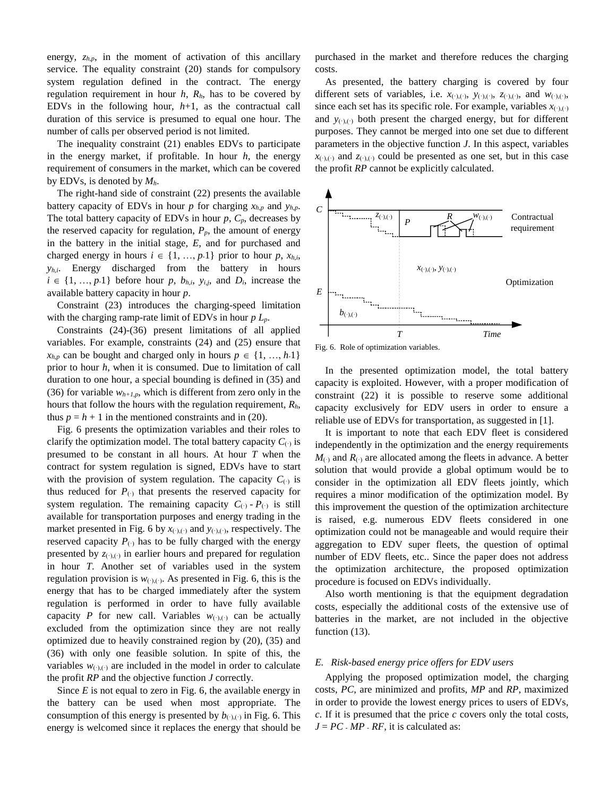energy,  $z_{h,p}$ , in the moment of activation of this ancillary service. The equality constraint (20) stands for compulsory system regulation defined in the contract. The energy regulation requirement in hour *h*, *Rh*, has to be covered by EDVs in the following hour, *h*+1, as the contractual call duration of this service is presumed to equal one hour. The number of calls per observed period is not limited.

The inequality constraint (21) enables EDVs to participate in the energy market, if profitable. In hour *h*, the energy requirement of consumers in the market, which can be covered by EDVs, is denoted by *Mh*.

The right-hand side of constraint (22) presents the available battery capacity of EDVs in hour *p* for charging  $x_{h,p}$  and  $y_{h,p}$ . The total battery capacity of EDVs in hour *p*, *Cp*, decreases by the reserved capacity for regulation,  $P_p$ , the amount of energy in the battery in the initial stage, *E*, and for purchased and charged energy in hours  $i \in \{1, ..., p\cdot1\}$  prior to hour  $p$ ,  $x_{h,i}$ , *yh*,*i*. Energy discharged from the battery in hours  $i \in \{1, ..., p\text{-}1\}$  before hour *p*,  $b_{h,i}$ ,  $y_{i,j}$ , and  $D_i$ , increase the available battery capacity in hour *p*.

Constraint (23) introduces the charging-speed limitation with the charging ramp-rate limit of EDVs in hour *p Lp*.

Constraints (24)-(36) present limitations of all applied variables. For example, constraints (24) and (25) ensure that  $x_{h,p}$  can be bought and charged only in hours  $p \in \{1, ..., h.1\}$ prior to hour *h*, when it is consumed. Due to limitation of call duration to one hour, a special bounding is defined in (35) and (36) for variable  $w_{h+1,p}$ , which is different from zero only in the hours that follow the hours with the regulation requirement, *Rh*, thus  $p = h + 1$  in the mentioned constraints and in (20).

Fig. 6 presents the optimization variables and their roles to clarify the optimization model. The total battery capacity  $C_{(.)}$  is presumed to be constant in all hours. At hour *T* when the contract for system regulation is signed, EDVs have to start with the provision of system regulation. The capacity  $C_{(.)}$  is thus reduced for  $P_{(.)}$  that presents the reserved capacity for system regulation. The remaining capacity  $C_{(.)} - P_{(.)}$  is still available for transportation purposes and energy trading in the market presented in Fig. 6 by  $x_{(\cdot),(\cdot)}$  and  $y_{(\cdot),(\cdot)}$ , respectively. The reserved capacity  $P_{(.)}$  has to be fully charged with the energy presented by  $z_{(\cdot),(\cdot)}$  in earlier hours and prepared for regulation in hour *T*. Another set of variables used in the system regulation provision is  $w_{(\cdot),(\cdot)}$ . As presented in Fig. 6, this is the energy that has to be charged immediately after the system regulation is performed in order to have fully available capacity *P* for new call. Variables  $w_{(\cdot)(\cdot)}$  can be actually excluded from the optimization since they are not really optimized due to heavily constrained region by (20), (35) and (36) with only one feasible solution. In spite of this, the variables  $w_{(\cdot),(\cdot)}$  are included in the model in order to calculate the profit *RP* and the objective function *J* correctly.

Since *E* is not equal to zero in Fig. 6, the available energy in the battery can be used when most appropriate. The consumption of this energy is presented by  $b_{(\cdot),(\cdot)}$  in Fig. 6. This energy is welcomed since it replaces the energy that should be purchased in the market and therefore reduces the charging costs.

As presented, the battery charging is covered by four different sets of variables, i.e.  $x_{(\cdot),(\cdot)}, y_{(\cdot),(\cdot)}, z_{(\cdot),(\cdot)},$  and  $w_{(\cdot),(\cdot)},$ since each set has its specific role. For example, variables  $x_{(\cdot),(\cdot)}$ and  $y_{(.)}(.)$  both present the charged energy, but for different purposes. They cannot be merged into one set due to different parameters in the objective function *J*. In this aspect, variables  $x_{(\cdot),(\cdot)}$  and  $z_{(\cdot),(\cdot)}$  could be presented as one set, but in this case the profit *RP* cannot be explicitly calculated.



Fig. 6. Role of optimization variables.

In the presented optimization model, the total battery capacity is exploited. However, with a proper modification of constraint (22) it is possible to reserve some additional capacity exclusively for EDV users in order to ensure a reliable use of EDVs for transportation, as suggested in [1].

It is important to note that each EDV fleet is considered independently in the optimization and the energy requirements  $M_{(.)}$  and  $R_{(.)}$  are allocated among the fleets in advance. A better solution that would provide a global optimum would be to consider in the optimization all EDV fleets jointly, which requires a minor modification of the optimization model. By this improvement the question of the optimization architecture is raised, e.g. numerous EDV fleets considered in one optimization could not be manageable and would require their aggregation to EDV super fleets, the question of optimal number of EDV fleets, etc.. Since the paper does not address the optimization architecture, the proposed optimization procedure is focused on EDVs individually.

Also worth mentioning is that the equipment degradation costs, especially the additional costs of the extensive use of batteries in the market, are not included in the objective function  $(13)$ .

#### *E. Risk-based energy price offers for EDV users*

Applying the proposed optimization model, the charging costs, *PC*, are minimized and profits, *MP* and *RP*, maximized in order to provide the lowest energy prices to users of EDVs, *c*. If it is presumed that the price *c* covers only the total costs,  $J = PC \cdot MP \cdot RF$ , it is calculated as: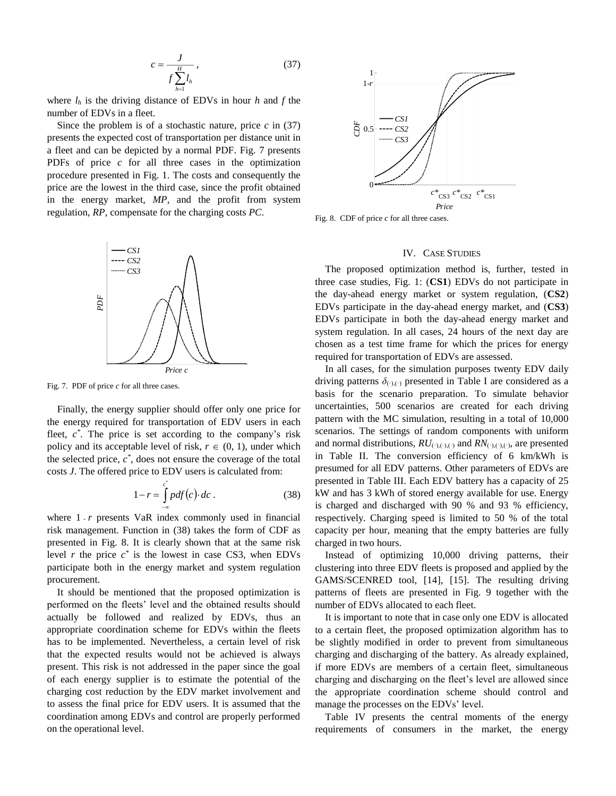$$
c = \frac{J}{f \sum_{h=1}^{H} l_h},\tag{37}
$$

where  $l_h$  is the driving distance of EDVs in hour  $h$  and  $f$  the number of EDVs in a fleet.

Since the problem is of a stochastic nature, price *c* in (37) presents the expected cost of transportation per distance unit in a fleet and can be depicted by a normal PDF. Fig. 7 presents PDFs of price *c* for all three cases in the optimization procedure presented in Fig. 1. The costs and consequently the price are the lowest in the third case, since the profit obtained in the energy market, *MP*, and the profit from system regulation, *RP*, compensate for the charging costs *PC*.



Fig. 7. PDF of price *c* for all three cases.

Finally, the energy supplier should offer only one price for the energy required for transportation of EDV users in each fleet,  $c^*$ . The price is set according to the company's risk policy and its acceptable level of risk,  $r \in (0, 1)$ , under which the selected price,  $c^*$ , does not ensure the coverage of the total costs *J*. The offered price to EDV users is calculated from:

$$
1 - r = \int_{-\infty}^{c} p df(c) \, dc \,. \tag{38}
$$

where 1 *- r* presents VaR index commonly used in financial risk management. Function in (38) takes the form of CDF as presented in Fig. 8. It is clearly shown that at the same risk level  $r$  the price  $c^*$  is the lowest in case CS3, when EDVs participate both in the energy market and system regulation procurement.

It should be mentioned that the proposed optimization is performed on the fleets' level and the obtained results should actually be followed and realized by EDVs, thus an appropriate coordination scheme for EDVs within the fleets has to be implemented. Nevertheless, a certain level of risk that the expected results would not be achieved is always present. This risk is not addressed in the paper since the goal of each energy supplier is to estimate the potential of the charging cost reduction by the EDV market involvement and to assess the final price for EDV users. It is assumed that the coordination among EDVs and control are properly performed on the operational level.



Fig. 8. CDF of price *c* for all three cases.

## IV. CASE STUDIES

The proposed optimization method is, further, tested in three case studies, Fig. 1: (**CS1**) EDVs do not participate in the day-ahead energy market or system regulation, (**CS2**) EDVs participate in the day-ahead energy market, and (**CS3**) EDVs participate in both the day-ahead energy market and system regulation. In all cases, 24 hours of the next day are chosen as a test time frame for which the prices for energy required for transportation of EDVs are assessed.

In all cases, for the simulation purposes twenty EDV daily driving patterns  $\delta_{(\cdot),(\cdot)}$  presented in Table I are considered as a basis for the scenario preparation. To simulate behavior uncertainties, 500 scenarios are created for each driving pattern with the MC simulation, resulting in a total of 10,000 scenarios. The settings of random components with uniform and normal distributions,  $RU_{(\cdot),(\cdot),(\cdot)}$  and  $RN_{(\cdot),(\cdot),(\cdot)}$ , are presented in Table II. The conversion efficiency of 6 km/kWh is presumed for all EDV patterns. Other parameters of EDVs are presented in Table III. Each EDV battery has a capacity of 25 kW and has 3 kWh of stored energy available for use. Energy is charged and discharged with 90 % and 93 % efficiency, respectively. Charging speed is limited to 50 % of the total capacity per hour, meaning that the empty batteries are fully charged in two hours.

Instead of optimizing 10,000 driving patterns, their clustering into three EDV fleets is proposed and applied by the GAMS/SCENRED tool, [14], [15]. The resulting driving patterns of fleets are presented in Fig. 9 together with the number of EDVs allocated to each fleet.

It is important to note that in case only one EDV is allocated to a certain fleet, the proposed optimization algorithm has to be slightly modified in order to prevent from simultaneous charging and discharging of the battery. As already explained, if more EDVs are members of a certain fleet, simultaneous charging and discharging on the fleet's level are allowed since the appropriate coordination scheme should control and manage the processes on the EDVs' level.

Table IV presents the central moments of the energy requirements of consumers in the market, the energy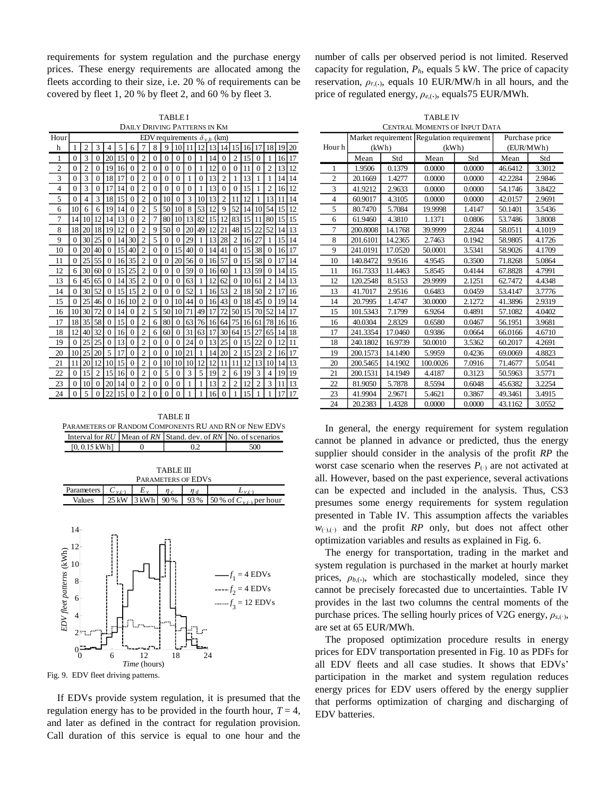requirements for system regulation and the purchase energy prices. These energy requirements are allocated among the fleets according to their size, i.e. 20 % of requirements can be covered by fleet 1, 20 % by fleet 2, and 60 % by fleet 3.

TABLE I DAILY DRIVING PATTERNS IN KM

| Hour | EDV requirements $\delta_{v,h}$ (km) |                |                |                |    |                |                |          |          |                |          |          |    |                |                |    |                |                |    |    |
|------|--------------------------------------|----------------|----------------|----------------|----|----------------|----------------|----------|----------|----------------|----------|----------|----|----------------|----------------|----|----------------|----------------|----|----|
| h    | 1                                    | $\overline{c}$ | 3              | 4              | 5  | 6              | 7              | 8        | 9        | 10             | 11       | 12       | 13 | 14             | 15             | 16 |                | 18             | 19 | 20 |
| 1    | $\Omega$                             | 3              | 0              | 20             | 15 | 0              | $\overline{2}$ | 0        | $\Omega$ | 0              | 0        | 1        | 14 | 0              | 2              | 15 | 0              | 1              | 16 | 17 |
| 2    | $\Omega$                             | $\overline{c}$ | $\Omega$       | 19             | 16 | $\theta$       | $\overline{2}$ | $\Omega$ | 0        | $\theta$       | 0        | 1        | 12 | $\theta$       | 0              | 11 | $\theta$       | $\overline{c}$ | 13 | 12 |
| 3    | $\theta$                             | 3              | $\theta$       | 18             | 17 | $\theta$       | $\overline{c}$ | $\Omega$ | $\theta$ | $\theta$       | 1        | $\theta$ | 13 | $\overline{c}$ | 1              | 13 | 1              | 1              | 14 | 14 |
| 4    | $\theta$                             | 3              | $\theta$       | 17             | 14 | $\theta$       | $\overline{2}$ | $\theta$ | $\theta$ | $\theta$       | $\theta$ | 1        | 13 | $\theta$       | $\theta$       | 15 | 1              | $\overline{2}$ | 16 | 12 |
| 5    | $\Omega$                             | $\overline{4}$ | 3              | 18             | 15 | $\theta$       | $\overline{c}$ | $\Omega$ | 10       | $\theta$       | 3        | 10       | 13 | $\overline{c}$ | 11             | 12 | 1              | 13             | 11 | 14 |
| 6    | 10                                   | 6              | 6              | 19             | 14 | $\theta$       | $\overline{2}$ | 5        | 50       | 10             | 8        | 53       | 12 | 9              | 52             | 14 | 10             | 54             | 15 | 12 |
| 7    | 14                                   | 10             | 12             | 14             | 13 | 0              | $\overline{c}$ | 7        | 80       | 10             | 13       | 82       | 15 | 12             | 83             | 15 | 11             | 80             | 15 | 15 |
| 8    | 18                                   | 20             | 18             | 19             | 12 | 0              | $\overline{c}$ | 9        | 50       | $\Omega$       | 20       | 49       | 12 | 21             | 48             | 15 | 22             | 52             | 14 | 13 |
| 9    | $\Omega$                             | 30             | 25             | $\theta$       | 14 | 30             | $\overline{2}$ | 5        | $\Omega$ | $\Omega$       | 29       | 1        | 13 | 28             | $\overline{2}$ | 16 | 27             | 1              | 15 | 14 |
| 10   | $\theta$                             | 20             | 40             | $\theta$       | 15 | 40             | $\overline{c}$ | $\theta$ | $\theta$ | 15             | 40       | $\theta$ | 14 | 41             | $\theta$       | 15 | 38             | $\theta$       | 16 | 17 |
| 11   | $\theta$                             | 25             | 55             | $\overline{0}$ | 16 | 35             | $\overline{2}$ | $\theta$ | $\theta$ | 20             | 56       | $\theta$ | 16 | 57             | $\theta$       | 15 | 58             | $\theta$       | 17 | 14 |
| 12   | 6                                    | 30             | 60             | $\theta$       | 15 | 25             | $\overline{c}$ | $\theta$ | $\theta$ | $\theta$       | 59       | $\theta$ | 16 | 60             | 1              | 13 | 59             | $\theta$       | 14 | 15 |
| 13   | 6                                    | 45             | 65             | $\theta$       | 14 | 35             | $\overline{2}$ | $\Omega$ | $\theta$ | $\Omega$       | 63       | 1        | 12 | 62             | $\Omega$       | 10 | 61             | $\overline{c}$ | 14 | 13 |
| 14   | $\theta$                             | 30             | 52             | $\theta$       | 15 | 15             | $\overline{c}$ | $\Omega$ | $\theta$ | $\Omega$       | 52       | 1        | 16 | 53             | $\overline{2}$ | 18 | 50             | $\overline{c}$ | 17 | 16 |
| 15   | $\theta$                             | 25             | 46             | $\theta$       | 16 | 10             | $\overline{2}$ | $\theta$ | $\theta$ | 10             | 44       | $\theta$ | 16 | 43             | $\Omega$       | 18 | 45             | $\theta$       | 19 | 14 |
| 16   | 10                                   | 30             | 72             | $\theta$       | 14 | $\theta$       | $\overline{c}$ | 5        | 50       | 10             | 71       | 49       | 17 | 72             | 50             | 15 | 70             | 52             | 14 | 17 |
| 17   | 18                                   | 35             | 58             | $\theta$       | 15 | $\theta$       | $\overline{c}$ | 6        | 80       | $\theta$       | 63       | 76       | 16 | 64             | 75             | 16 | 61             | 78             | 16 | 16 |
| 18   | 12                                   | 40             | 32             | $\theta$       | 16 | 0              | $\overline{c}$ | 6        | 60       | $\Omega$       | 31       | 63       | 17 | 30             | 64             | 15 | 27             | 65             | 14 | 18 |
| 19   | $\Omega$                             | 25             | 25             | $\mathbf{0}$   | 13 | $\Omega$       | $\overline{2}$ | $\Omega$ | $\Omega$ | $\Omega$       | 24       | $\Omega$ | 13 | 25             | $\Omega$       | 15 | 22             | $\mathbf{0}$   | 12 | 11 |
| 20   | 10                                   | 25             | 20             | 5              | 17 | $\overline{0}$ | $\overline{2}$ | $\theta$ | $\theta$ | 10             | 21       | 1        | 14 | 20             | $\overline{2}$ | 15 | 23             | $\overline{2}$ | 16 | 17 |
| 21   | 11                                   | 20             | 12             | 10             | 15 | $\overline{0}$ | $\overline{2}$ | $\Omega$ | 10       | 10             | 10       | 12       | 12 | 11             | 11             | 12 | 13             | 10             | 14 | 13 |
| 22   | $\theta$                             | 15             | $\overline{2}$ | 15             | 16 | $\theta$       | $\overline{2}$ | $\theta$ | 5        | $\overline{0}$ | 3        | 5        | 19 | $\overline{2}$ | 6              | 19 | 3              | $\overline{4}$ | 19 | 19 |
| 23   | $\theta$                             | 10             | $\Omega$       | 20             | 14 | $\theta$       | $\overline{2}$ | $\Omega$ | $\Omega$ | $\theta$       | 1        | 1        | 13 | $\overline{c}$ | $\overline{c}$ | 12 | $\overline{c}$ | 3              | 11 | 13 |
| 24   | $\theta$                             | 5              | $\theta$       | 22             | 15 | $\theta$       | $\overline{2}$ | $\Omega$ | $\Omega$ | $\theta$       |          |          | 16 | $\Omega$       |                | 15 |                |                |    | 17 |

TABLE II PARAMETERS OF RANDOM COMPONENTS RU AND RN OF NEW EDVS Interval for  $RU$  Mean of  $RN$  Stand. dev. of  $RN$  No. of scenarios  $[0, 0.15 \text{ kWh}]$  0 0.2 500

| <b>TABLE III</b>            |  |  |  |  |                                                |  |  |  |  |
|-----------------------------|--|--|--|--|------------------------------------------------|--|--|--|--|
| <b>PARAMETERS OF EDVS</b>   |  |  |  |  |                                                |  |  |  |  |
| Parameters $C_{\text{max}}$ |  |  |  |  |                                                |  |  |  |  |
| Values                      |  |  |  |  | 25 kW 3 kWh 90 % 93 % 50 % of $C_{v}$ per hour |  |  |  |  |



If EDVs provide system regulation, it is presumed that the regulation energy has to be provided in the fourth hour,  $T = 4$ , and later as defined in the contract for regulation provision. Call duration of this service is equal to one hour and the number of calls per observed period is not limited. Reserved capacity for regulation, *Ph*, equals 5 kW. The price of capacity reservation,  $\rho_{r,(.)}$ , equals 10 EUR/MW/h in all hours, and the price of regulated energy, *ρe*,(.), equals75 EUR/MWh.

| <b>TABLE IV</b>                                                        |  |
|------------------------------------------------------------------------|--|
| $\overline{m}$ if $M_{\odot}$ an $\overline{m}$ on Line $\overline{m}$ |  |

| <b>CENTRAL MOMENTS OF INPUT DATA</b> |          |         |                                           |        |                |        |  |  |  |
|--------------------------------------|----------|---------|-------------------------------------------|--------|----------------|--------|--|--|--|
|                                      |          |         | Market requirement Regulation requirement |        | Purchase price |        |  |  |  |
| Hour h                               | (kWh)    |         | (kWh)                                     |        | (EUR/MWh)      |        |  |  |  |
|                                      | Mean     | Std     | Mean                                      | Std    | Mean           | Std    |  |  |  |
| 1                                    | 1.9506   | 0.1379  | 0.0000                                    | 0.0000 | 46.6412        | 3.3012 |  |  |  |
| $\overline{2}$                       | 20.1669  | 1.4277  | 0.0000                                    | 0.0000 | 42.2284        | 2.9846 |  |  |  |
| 3                                    | 41.9212  | 2.9633  | 0.0000                                    | 0.0000 | 54.1746        | 3.8422 |  |  |  |
| $\overline{4}$                       | 60.9017  | 4.3105  | 0.0000                                    | 0.0000 | 42.0157        | 2.9691 |  |  |  |
| 5                                    | 80.7470  | 5.7084  | 19.9998                                   | 1.4147 | 50.1401        | 3.5436 |  |  |  |
| 6                                    | 61.9460  | 4.3810  | 1.1371                                    | 0.0806 | 53.7486        | 3.8008 |  |  |  |
| 7                                    | 200.8008 | 14.1768 | 39.9999                                   | 2.8244 | 58.0511        | 4.1019 |  |  |  |
| 8                                    | 201.6101 | 14.2365 | 2.7463                                    | 0.1942 | 58.9805        | 4.1726 |  |  |  |
| 9                                    | 241.0191 | 17.0520 | 50.0001                                   | 3.5341 | 58.9026        | 4.1709 |  |  |  |
| 10                                   | 140.8472 | 9.9516  | 4.9545                                    | 0.3500 | 71.8268        | 5.0864 |  |  |  |
| 11                                   | 161.7333 | 11.4463 | 5.8545                                    | 0.4144 | 67.8828        | 4.7991 |  |  |  |
| 12                                   | 120.2548 | 8.5153  | 29.9999                                   | 2.1251 | 62.7472        | 4.4348 |  |  |  |
| 13                                   | 41.7017  | 2.9516  | 0.6483                                    | 0.0459 | 53.4147        | 3.7776 |  |  |  |
| 14                                   | 20.7995  | 1.4747  | 30.0000                                   | 2.1272 | 41.3896        | 2.9319 |  |  |  |
| 15                                   | 101.5343 | 7.1799  | 6.9264                                    | 0.4891 | 57.1082        | 4.0402 |  |  |  |
| 16                                   | 40.0304  | 2.8329  | 0.6580                                    | 0.0467 | 56.1951        | 3.9681 |  |  |  |
| 17                                   | 241.3354 | 17.0460 | 0.9386                                    | 0.0664 | 66.0166        | 4.6710 |  |  |  |
| 18                                   | 240.1802 | 16.9739 | 50.0010                                   | 3.5362 | 60.2017        | 4.2691 |  |  |  |
| 19                                   | 200.1573 | 14.1490 | 5.9959                                    | 0.4236 | 69.0069        | 4.8823 |  |  |  |
| 20                                   | 200.5465 | 14.1902 | 100.0026                                  | 7.0916 | 71.4677        | 5.0541 |  |  |  |
| 21                                   | 200.1531 | 14.1949 | 4.4187                                    | 0.3123 | 50.5963        | 3.5771 |  |  |  |
| 22                                   | 81.9050  | 5.7878  | 8.5594                                    | 0.6048 | 45.6382        | 3.2254 |  |  |  |
| 23                                   | 41.9904  | 2.9671  | 5.4621                                    | 0.3867 | 49.3461        | 3.4915 |  |  |  |
| 24                                   | 20.2383  | 1.4328  | 0.0000                                    | 0.0000 | 43.1162        | 3.0552 |  |  |  |

In general, the energy requirement for system regulation cannot be planned in advance or predicted, thus the energy supplier should consider in the analysis of the profit *RP* the worst case scenario when the reserves  $P_{(.)}$  are not activated at all. However, based on the past experience, several activations can be expected and included in the analysis. Thus, CS3 presumes some energy requirements for system regulation presented in Table IV. This assumption affects the variables  $w_{(\cdot),(\cdot)}$  and the profit *RP* only, but does not affect other optimization variables and results as explained in Fig. 6.

The energy for transportation, trading in the market and system regulation is purchased in the market at hourly market prices,  $\rho_{b,(.)}$ , which are stochastically modeled, since they cannot be precisely forecasted due to uncertainties. Table IV provides in the last two columns the central moments of the purchase prices. The selling hourly prices of V2G energy,  $\rho_{s,(.)}$ , are set at 65 EUR/MWh.

The proposed optimization procedure results in energy prices for EDV transportation presented in Fig. 10 as PDFs for all EDV fleets and all case studies. It shows that EDVs' participation in the market and system regulation reduces energy prices for EDV users offered by the energy supplier that performs optimization of charging and discharging of EDV batteries.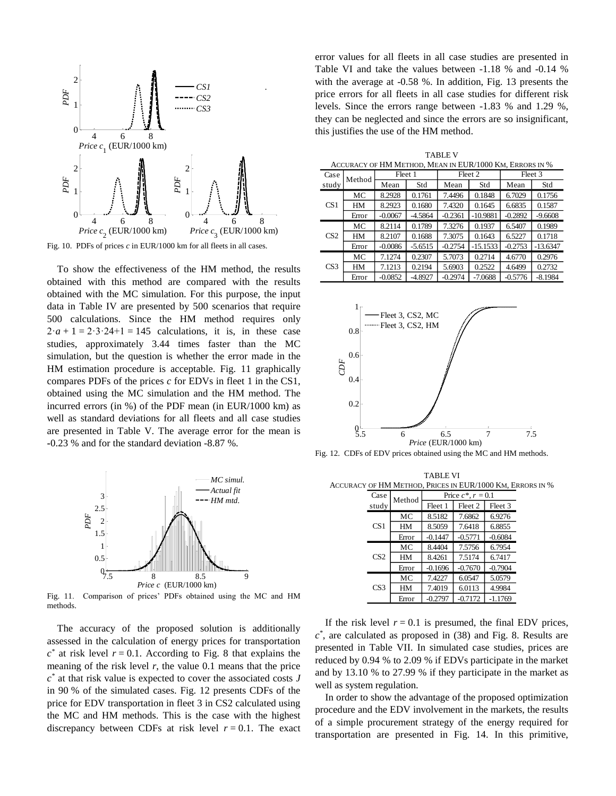

Fig. 10. PDFs of prices  $c$  in EUR/1000 km for all fleets in all cases.

To show the effectiveness of the HM method, the results obtained with this method are compared with the results obtained with the MC simulation. For this purpose, the input data in Table IV are presented by 500 scenarios that require 500 calculations. Since the HM method requires only  $2 \cdot a + 1 = 2 \cdot 3 \cdot 24 + 1 = 145$  calculations, it is, in these case studies, approximately 3.44 times faster than the MC simulation, but the question is whether the error made in the HM estimation procedure is acceptable. Fig. 11 graphically compares PDFs of the prices *c* for EDVs in fleet 1 in the CS1, obtained using the MC simulation and the HM method. The incurred errors (in %) of the PDF mean (in EUR/1000 km) as well as standard deviations for all fleets and all case studies are presented in Table V. The average error for the mean is **-**0.23 % and for the standard deviation -8.87 %.



Fig. 11. Comparison of prices' PDFs obtained using the MC and HM methods.

The accuracy of the proposed solution is additionally assessed in the calculation of energy prices for transportation  $c^*$  at risk level  $r = 0.1$ . According to Fig. 8 that explains the meaning of the risk level  $r$ , the value 0.1 means that the price *c \** at that risk value is expected to cover the associated costs *J* in 90 % of the simulated cases. Fig. 12 presents CDFs of the price for EDV transportation in fleet 3 in CS2 calculated using the MC and HM methods. This is the case with the highest discrepancy between CDFs at risk level  $r = 0.1$ . The exact

error values for all fleets in all case studies are presented in Table VI and take the values between -1.18 % and -0.14 % with the average at -0.58 %. In addition, Fig. 13 presents the price errors for all fleets in all case studies for different risk levels. Since the errors range between -1.83 % and 1.29 %, they can be neglected and since the errors are so insignificant, this justifies the use of the HM method.

|     | <b>TABLE V</b>                                          |         |         |         |  |  |  |  |  |  |
|-----|---------------------------------------------------------|---------|---------|---------|--|--|--|--|--|--|
|     | ACCURACY OF HM METHOD. MEAN IN EUR/1000 KM. ERRORS IN % |         |         |         |  |  |  |  |  |  |
| ise | [Method]                                                | Fleet 1 | Fleet 2 | Fleet 3 |  |  |  |  |  |  |
|     |                                                         |         |         |         |  |  |  |  |  |  |

| Case            |       | Fleet 1<br>Method |           |           | Fleet 2    | Fleet 3   |            |  |
|-----------------|-------|-------------------|-----------|-----------|------------|-----------|------------|--|
| study           |       | Mean              | Std       | Mean      | Std        | Mean      | Std        |  |
| CS <sub>1</sub> | МC    | 8.2928            | 0.1761    | 7.4496    | 0.1848     | 6.7029    | 0.1756     |  |
|                 | HМ    | 8.2923            | 0.1680    | 7.4320    | 0.1645     | 6.6835    | 0.1587     |  |
|                 | Error | $-0.0067$         | $-4.5864$ | $-0.2361$ | $-10.9881$ | $-0.2892$ | $-9.6608$  |  |
|                 | МC    | 8.2114            | 0.1789    | 7.3276    | 0.1937     | 6.5407    | 0.1989     |  |
| CS <sub>2</sub> | HМ    | 8.2107            | 0.1688    | 7.3075    | 0.1643     | 6.5227    | 0.1718     |  |
|                 | Error | $-0.0086$         | $-5.6515$ | $-0.2754$ | $-15.1533$ | $-0.2753$ | $-13.6347$ |  |
| CS <sub>3</sub> | МC    | 7.1274            | 0.2307    | 5.7073    | 0.2714     | 4.6770    | 0.2976     |  |
|                 | HМ    | 7.1213            | 0.2194    | 5.6903    | 0.2522     | 4.6499    | 0.2732     |  |
|                 | Error | $-0.0852$         | -4.8927   | $-0.2974$ | $-7.0688$  | $-0.5776$ | $-8.1984$  |  |



Fig. 12. CDFs of EDV prices obtained using the MC and HM methods.

TABLE VI ACCURACY OF HM METHOD, PRICES IN EUR/1000 KM, ERRORS IN %

| Case            | Method | Price $c^*$ , $r = 0.1$ |           |           |  |  |  |  |
|-----------------|--------|-------------------------|-----------|-----------|--|--|--|--|
| study           |        | Fleet 1                 | Fleet 2   | Fleet 3   |  |  |  |  |
| CS1             | МC     | 8.5182                  | 7.6862    | 6.9276    |  |  |  |  |
|                 | HM     | 8.5059                  | 7.6418    | 6.8855    |  |  |  |  |
|                 | Error  | $-0.1447$               | $-0.5771$ | $-0.6084$ |  |  |  |  |
|                 | МC     | 8.4404                  | 7.5756    | 6.7954    |  |  |  |  |
| CS <sub>2</sub> | HM     | 8.4261                  | 7.5174    | 6.7417    |  |  |  |  |
|                 | Error  | $-0.1696$               | $-0.7670$ | $-0.7904$ |  |  |  |  |
| CS <sub>3</sub> | МC     | 7.4227                  | 6.0547    | 5.0579    |  |  |  |  |
|                 | HM     | 7.4019                  | 6.0113    | 4.9984    |  |  |  |  |
|                 | Error  | $-0.2797$               | $-0.7172$ | $-1.1769$ |  |  |  |  |

If the risk level  $r = 0.1$  is presumed, the final EDV prices, *c \** , are calculated as proposed in (38) and Fig. 8. Results are presented in Table VII. In simulated case studies, prices are reduced by 0.94 % to 2.09 % if EDVs participate in the market and by 13.10 % to 27.99 % if they participate in the market as well as system regulation.

In order to show the advantage of the proposed optimization procedure and the EDV involvement in the markets, the results of a simple procurement strategy of the energy required for transportation are presented in Fig. 14. In this primitive,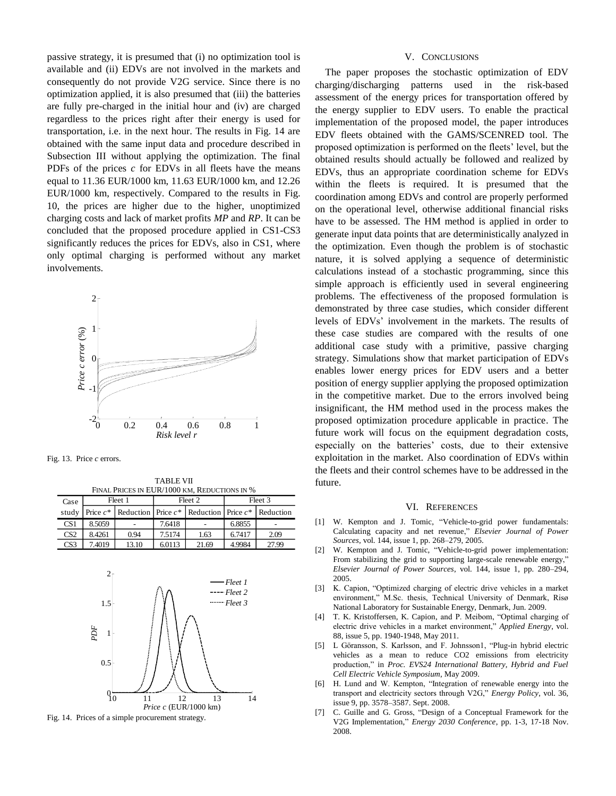passive strategy, it is presumed that (i) no optimization tool is available and (ii) EDVs are not involved in the markets and consequently do not provide V2G service. Since there is no optimization applied, it is also presumed that (iii) the batteries are fully pre-charged in the initial hour and (iv) are charged regardless to the prices right after their energy is used for transportation, i.e. in the next hour. The results in Fig. 14 are obtained with the same input data and procedure described in Subsection III without applying the optimization. The final PDFs of the prices *c* for EDVs in all fleets have the means equal to 11.36 EUR/1000 km, 11.63 EUR/1000 km, and 12.26 EUR/1000 km, respectively. Compared to the results in Fig. 10, the prices are higher due to the higher, unoptimized charging costs and lack of market profits *MP* and *RP*. It can be concluded that the proposed procedure applied in CS1-CS3 significantly reduces the prices for EDVs, also in CS1, where only optimal charging is performed without any market involvements.



Fig. 13. Price *c* errors.

TABLE VII FINAL PRICES IN EUR/1000 KM, REDUCTIONS IN %

| Case            |        | Fleet 1 |        | Fleet 2                                                           | Fleet 3 |       |  |
|-----------------|--------|---------|--------|-------------------------------------------------------------------|---------|-------|--|
| study           |        |         |        | Price $c^*$ Reduction Price $c^*$ Reduction Price $c^*$ Reduction |         |       |  |
| CS <sub>1</sub> | 8.5059 |         | 7.6418 |                                                                   | 6.8855  |       |  |
| CS <sub>2</sub> | 8.4261 | 0.94    | 7.5174 | 1.63                                                              | 6.7417  | 2.09  |  |
| CS3             | 7.4019 | 13.10   | 6.0113 | 21.69                                                             | 4.9984  | 27.99 |  |



Fig. 14. Prices of a simple procurement strategy.

## V. CONCLUSIONS

The paper proposes the stochastic optimization of EDV charging/discharging patterns used in the risk-based assessment of the energy prices for transportation offered by the energy supplier to EDV users. To enable the practical implementation of the proposed model, the paper introduces EDV fleets obtained with the GAMS/SCENRED tool. The proposed optimization is performed on the fleets' level, but the obtained results should actually be followed and realized by EDVs, thus an appropriate coordination scheme for EDVs within the fleets is required. It is presumed that the coordination among EDVs and control are properly performed on the operational level, otherwise additional financial risks have to be assessed. The HM method is applied in order to generate input data points that are deterministically analyzed in the optimization. Even though the problem is of stochastic nature, it is solved applying a sequence of deterministic calculations instead of a stochastic programming, since this simple approach is efficiently used in several engineering problems. The effectiveness of the proposed formulation is demonstrated by three case studies, which consider different levels of EDVs' involvement in the markets. The results of these case studies are compared with the results of one additional case study with a primitive, passive charging strategy. Simulations show that market participation of EDVs enables lower energy prices for EDV users and a better position of energy supplier applying the proposed optimization in the competitive market. Due to the errors involved being insignificant, the HM method used in the process makes the proposed optimization procedure applicable in practice. The future work will focus on the equipment degradation costs, especially on the batteries' costs, due to their extensive exploitation in the market. Also coordination of EDVs within the fleets and their control schemes have to be addressed in the future.

#### VI. REFERENCES

- [1] W. Kempton and J. Tomic, "Vehicle-to-grid power fundamentals: Calculating capacity and net revenue," *Elsevier Journal of Power Sources*, vol. 144, issue 1, pp. 268–279, 2005.
- [2] W. Kempton and J. Tomic, "Vehicle-to-grid power implementation: From stabilizing the grid to supporting large-scale renewable energy," *Elsevier Journal of Power Sources*, vol. 144, issue 1, pp. 280–294, 2005.
- [3] K. Capion, "Optimized charging of electric drive vehicles in a market environment," M.Sc. thesis, Technical University of Denmark, Risø National Laboratory for Sustainable Energy, Denmark, Jun. 2009.
- [4] T. K. Kristoffersen, K. Capion, and P. Meibom, "Optimal charging of electric drive vehicles in a market environment," *Applied Energy*, vol. 88, issue 5, pp. 1940-1948, May 2011.
- [5] L Göransson, S. Karlsson, and F. Johnsson1, "Plug-in hybrid electric vehicles as a mean to reduce CO2 emissions from electricity production," in *Proc. EVS24 International Battery, Hybrid and Fuel Cell Electric Vehicle Symposium*, May 2009.
- [6] H. Lund and W. Kempton, "Integration of renewable energy into the transport and electricity sectors through V2G," *Energy Policy*, vol. 36, issue 9, pp. 3578–3587. Sept. 2008.
- [7] C. Guille and G. Gross, "Design of a Conceptual Framework for the V2G Implementation," *Energy 2030 Conference*, pp. 1-3, 17-18 Nov. 2008.